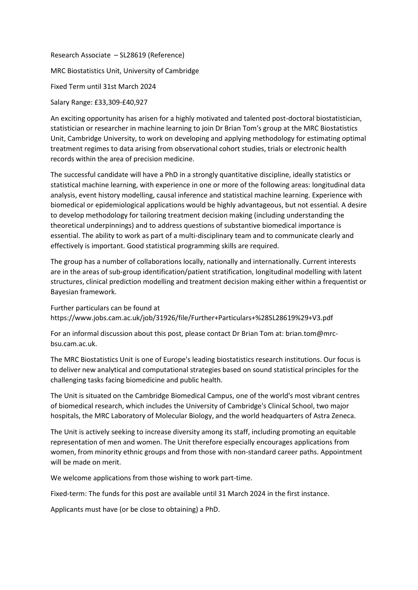Research Associate – SL28619 (Reference) MRC Biostatistics Unit, University of Cambridge Fixed Term until 31st March 2024

Salary Range: £33,309-£40,927

An exciting opportunity has arisen for a highly motivated and talented post-doctoral biostatistician, statistician or researcher in machine learning to join Dr Brian Tom's group at the MRC Biostatistics Unit, Cambridge University, to work on developing and applying methodology for estimating optimal treatment regimes to data arising from observational cohort studies, trials or electronic health records within the area of precision medicine.

The successful candidate will have a PhD in a strongly quantitative discipline, ideally statistics or statistical machine learning, with experience in one or more of the following areas: longitudinal data analysis, event history modelling, causal inference and statistical machine learning. Experience with biomedical or epidemiological applications would be highly advantageous, but not essential. A desire to develop methodology for tailoring treatment decision making (including understanding the theoretical underpinnings) and to address questions of substantive biomedical importance is essential. The ability to work as part of a multi-disciplinary team and to communicate clearly and effectively is important. Good statistical programming skills are required.

The group has a number of collaborations locally, nationally and internationally. Current interests are in the areas of sub-group identification/patient stratification, longitudinal modelling with latent structures, clinical prediction modelling and treatment decision making either within a frequentist or Bayesian framework.

Further particulars can be found at https://www.jobs.cam.ac.uk/job/31926/file/Further+Particulars+%28SL28619%29+V3.pdf

For an informal discussion about this post, please contact Dr Brian Tom at: brian.tom@mrcbsu.cam.ac.uk.

The MRC Biostatistics Unit is one of Europe's leading biostatistics research institutions. Our focus is to deliver new analytical and computational strategies based on sound statistical principles for the challenging tasks facing biomedicine and public health.

The Unit is situated on the Cambridge Biomedical Campus, one of the world's most vibrant centres of biomedical research, which includes the University of Cambridge's Clinical School, two major hospitals, the MRC Laboratory of Molecular Biology, and the world headquarters of Astra Zeneca.

The Unit is actively seeking to increase diversity among its staff, including promoting an equitable representation of men and women. The Unit therefore especially encourages applications from women, from minority ethnic groups and from those with non-standard career paths. Appointment will be made on merit.

We welcome applications from those wishing to work part-time.

Fixed-term: The funds for this post are available until 31 March 2024 in the first instance.

Applicants must have (or be close to obtaining) a PhD.